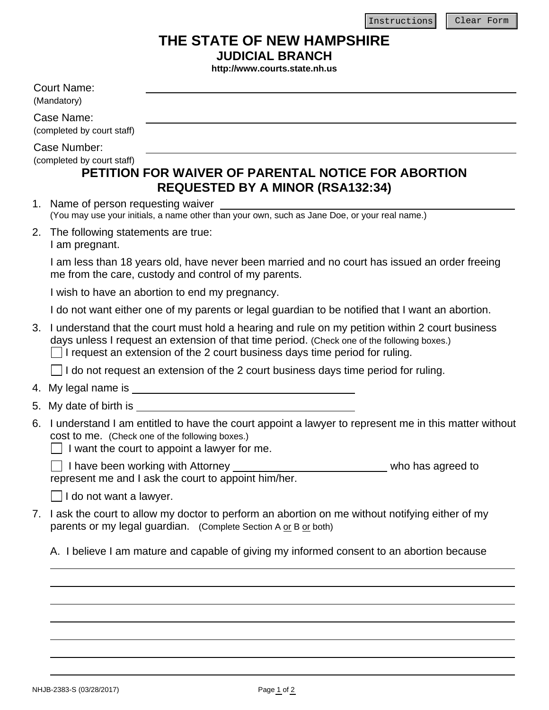## **THE STATE OF NEW HAMPSHIRE**

**JUDICIAL BRANCH** 

**http://www.courts.state.nh.us**

<span id="page-0-0"></span>

|    | nttp://www.courts.state.nn.us                                                                                                                                                                                                                                                        |  |  |
|----|--------------------------------------------------------------------------------------------------------------------------------------------------------------------------------------------------------------------------------------------------------------------------------------|--|--|
|    | <b>Court Name:</b><br>(Mandatory)                                                                                                                                                                                                                                                    |  |  |
|    | Case Name:                                                                                                                                                                                                                                                                           |  |  |
|    | (completed by court staff)                                                                                                                                                                                                                                                           |  |  |
|    | Case Number:<br>(completed by court staff)<br>PETITION FOR WAIVER OF PARENTAL NOTICE FOR ABORTION<br><b>REQUESTED BY A MINOR (RSA132:34)</b>                                                                                                                                         |  |  |
|    | 1. Name of person requesting waiver<br>Name of person requesting waiver<br>(You may use your initials, a name other than your own, such as Jane Doe, or your real name.)                                                                                                             |  |  |
|    | 2. The following statements are true:<br>I am pregnant.                                                                                                                                                                                                                              |  |  |
|    | I am less than 18 years old, have never been married and no court has issued an order freeing<br>me from the care, custody and control of my parents.                                                                                                                                |  |  |
|    | I wish to have an abortion to end my pregnancy.                                                                                                                                                                                                                                      |  |  |
|    | I do not want either one of my parents or legal guardian to be notified that I want an abortion.                                                                                                                                                                                     |  |  |
| 3. | I understand that the court must hold a hearing and rule on my petition within 2 court business<br>days unless I request an extension of that time period. (Check one of the following boxes.)<br>$\Box$ I request an extension of the 2 court business days time period for ruling. |  |  |
|    | I do not request an extension of the 2 court business days time period for ruling.                                                                                                                                                                                                   |  |  |
|    |                                                                                                                                                                                                                                                                                      |  |  |
|    | 5. My date of birth is a state of the state of the state of the state of the state of the state of the state of the state of the state of the state of the state of the state of the state of the state of the state of the st                                                       |  |  |
| 6. | I understand I am entitled to have the court appoint a lawyer to represent me in this matter without<br>cost to me. (Check one of the following boxes.)<br>I want the court to appoint a lawyer for me.                                                                              |  |  |
|    | I have been working with Attorney<br>who has agreed to<br>represent me and I ask the court to appoint him/her.                                                                                                                                                                       |  |  |
|    | I do not want a lawyer.                                                                                                                                                                                                                                                              |  |  |
| 7. | I ask the court to allow my doctor to perform an abortion on me without notifying either of my<br>parents or my legal guardian. (Complete Section A or B or both)                                                                                                                    |  |  |
|    | A. I believe I am mature and capable of giving my informed consent to an abortion because                                                                                                                                                                                            |  |  |
|    |                                                                                                                                                                                                                                                                                      |  |  |
|    |                                                                                                                                                                                                                                                                                      |  |  |
|    |                                                                                                                                                                                                                                                                                      |  |  |